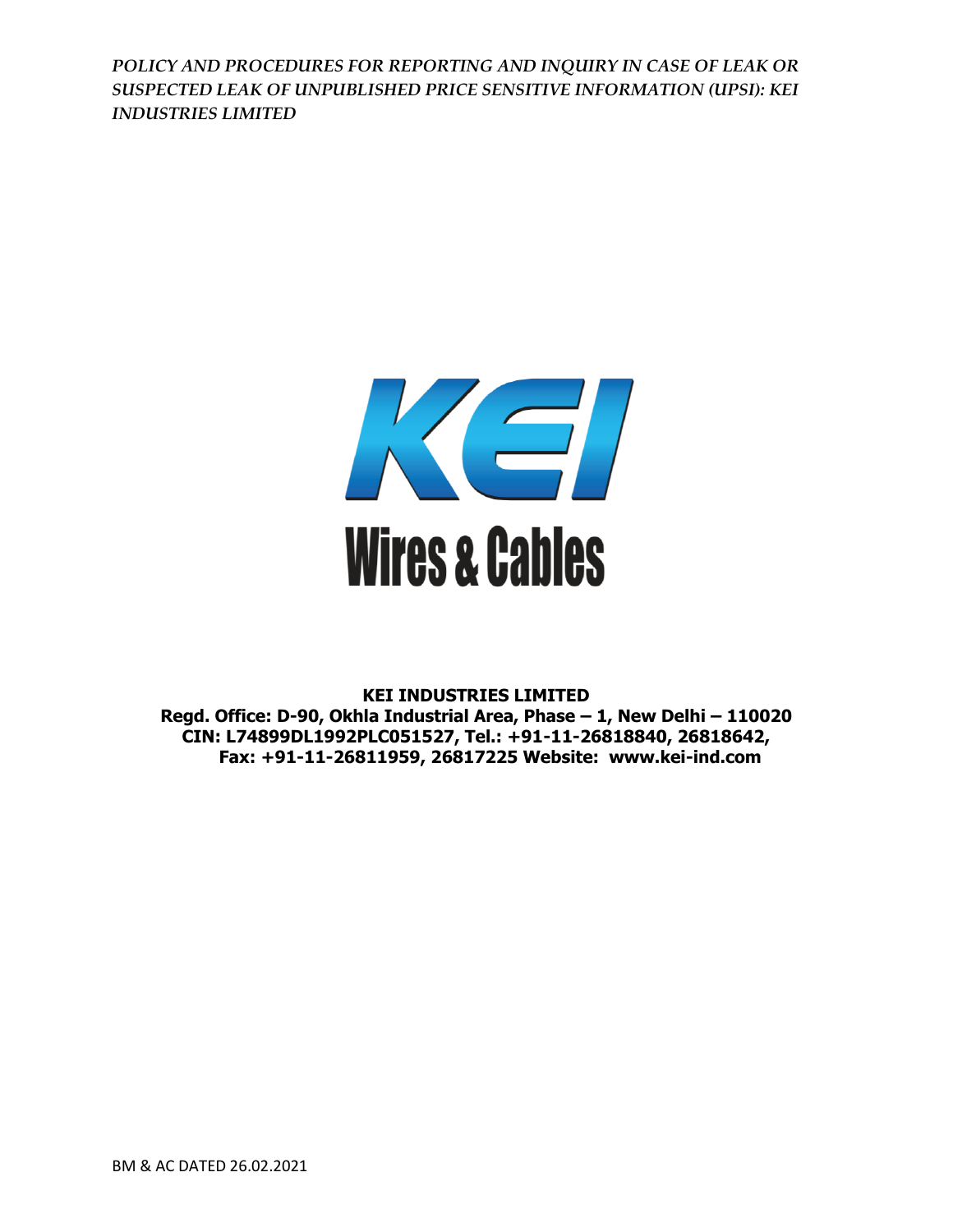

**KEI INDUSTRIES LIMITED Regd. Office: D-90, Okhla Industrial Area, Phase – 1, New Delhi – 110020 CIN: L74899DL1992PLC051527, Tel.: +91-11-26818840, 26818642, Fax: +91-11-26811959, 26817225 Website: www.kei-ind.com**

BM & AC DATED 26.02.2021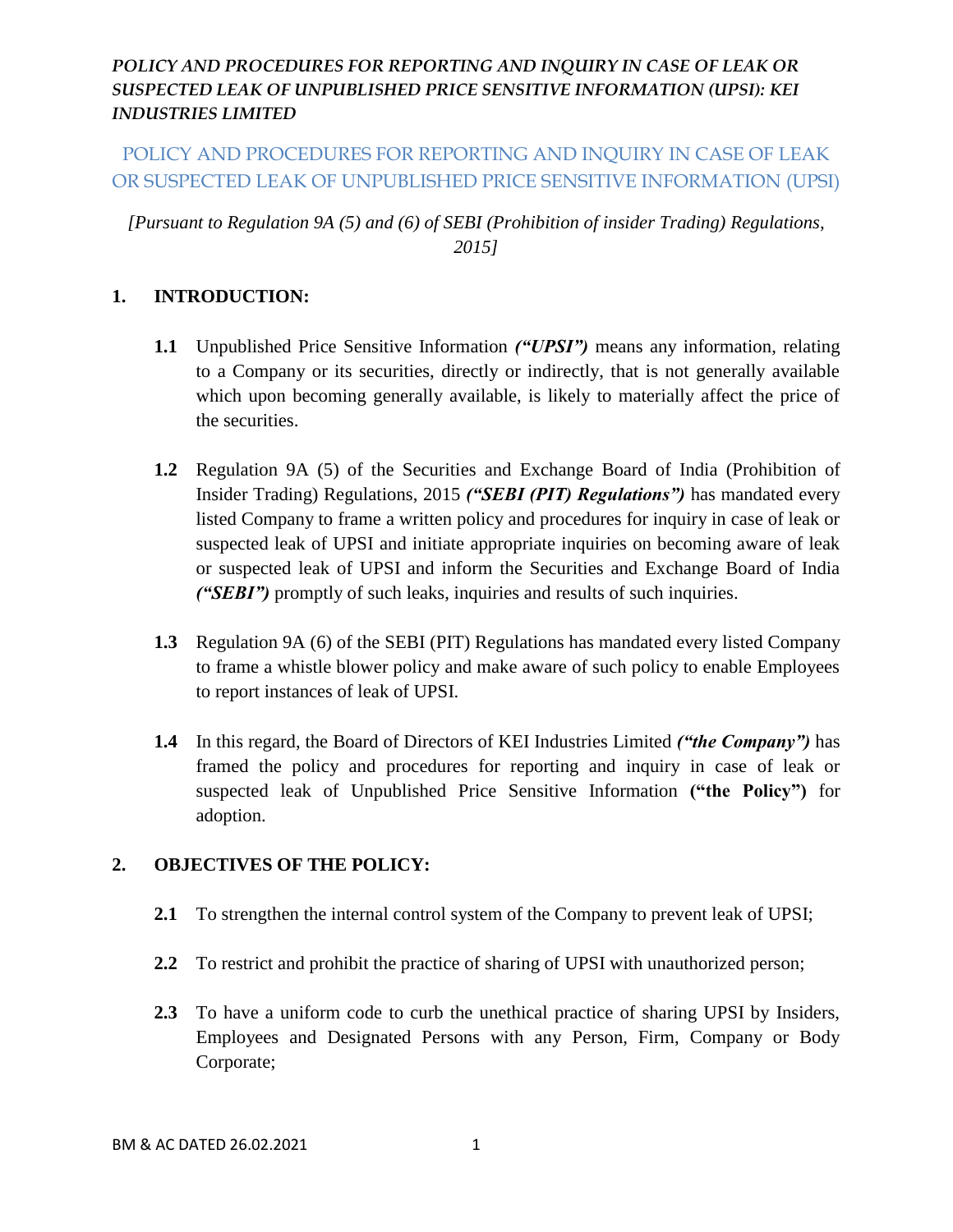# POLICY AND PROCEDURES FOR REPORTING AND INQUIRY IN CASE OF LEAK OR SUSPECTED LEAK OF UNPUBLISHED PRICE SENSITIVE INFORMATION (UPSI)

*[Pursuant to Regulation 9A (5) and (6) of SEBI (Prohibition of insider Trading) Regulations, 2015]*

### **1. INTRODUCTION:**

- **1.1** Unpublished Price Sensitive Information *("UPSI")* means any information, relating to a Company or its securities, directly or indirectly, that is not generally available which upon becoming generally available, is likely to materially affect the price of the securities.
- **1.2** Regulation 9A (5) of the Securities and Exchange Board of India (Prohibition of Insider Trading) Regulations, 2015 *("SEBI (PIT) Regulations")* has mandated every listed Company to frame a written policy and procedures for inquiry in case of leak or suspected leak of UPSI and initiate appropriate inquiries on becoming aware of leak or suspected leak of UPSI and inform the Securities and Exchange Board of India *("SEBI")* promptly of such leaks, inquiries and results of such inquiries.
- **1.3** Regulation 9A (6) of the SEBI (PIT) Regulations has mandated every listed Company to frame a whistle blower policy and make aware of such policy to enable Employees to report instances of leak of UPSI.
- **1.4** In this regard, the Board of Directors of KEI Industries Limited *("the Company")* has framed the policy and procedures for reporting and inquiry in case of leak or suspected leak of Unpublished Price Sensitive Information **("the Policy")** for adoption.

#### **2. OBJECTIVES OF THE POLICY:**

- **2.1** To strengthen the internal control system of the Company to prevent leak of UPSI;
- **2.2** To restrict and prohibit the practice of sharing of UPSI with unauthorized person;
- **2.3** To have a uniform code to curb the unethical practice of sharing UPSI by Insiders, Employees and Designated Persons with any Person, Firm, Company or Body Corporate;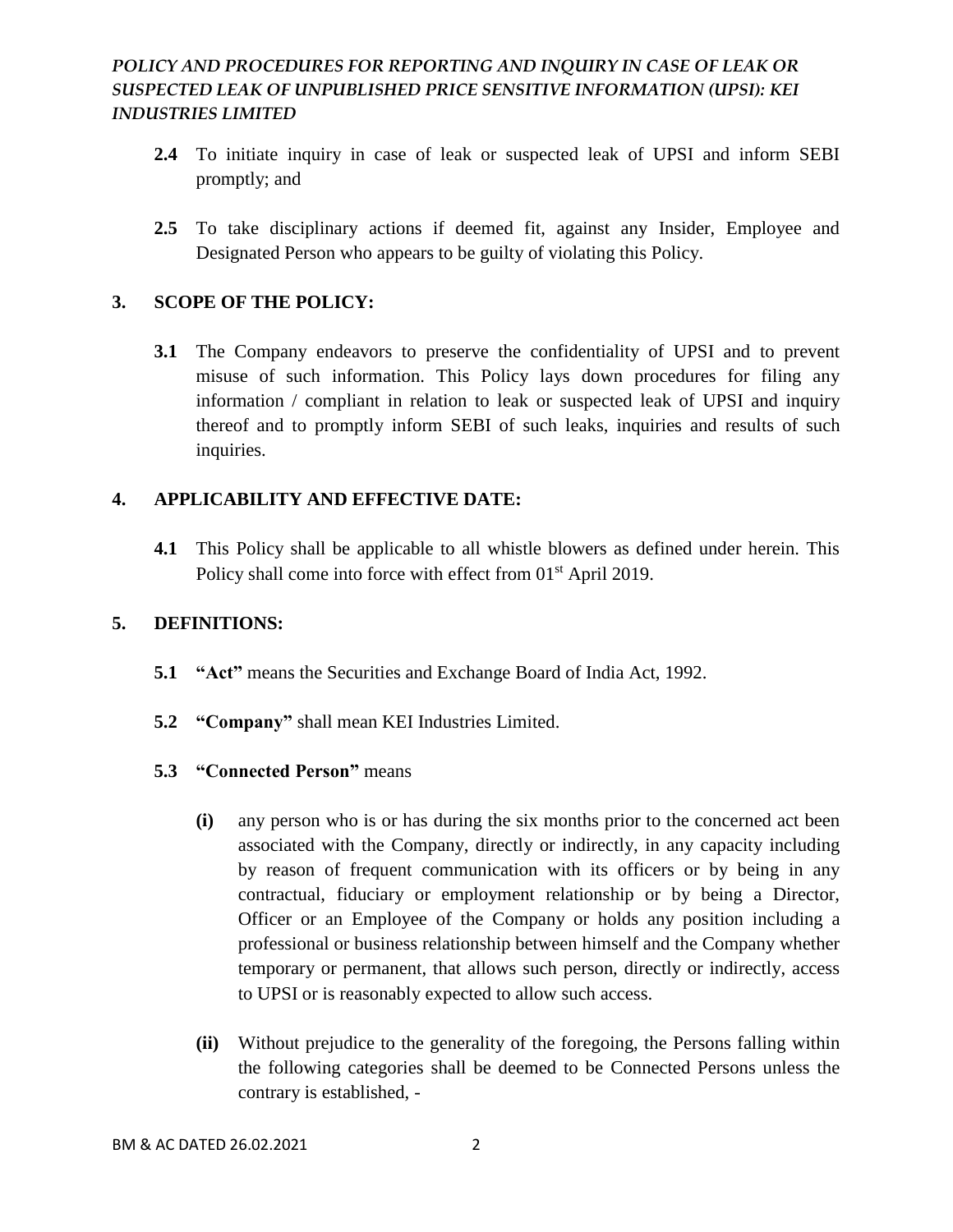- **2.4** To initiate inquiry in case of leak or suspected leak of UPSI and inform SEBI promptly; and
- **2.5** To take disciplinary actions if deemed fit, against any Insider, Employee and Designated Person who appears to be guilty of violating this Policy.

#### **3. SCOPE OF THE POLICY:**

**3.1** The Company endeavors to preserve the confidentiality of UPSI and to prevent misuse of such information. This Policy lays down procedures for filing any information / compliant in relation to leak or suspected leak of UPSI and inquiry thereof and to promptly inform SEBI of such leaks, inquiries and results of such inquiries.

# **4. APPLICABILITY AND EFFECTIVE DATE:**

**4.1** This Policy shall be applicable to all whistle blowers as defined under herein. This Policy shall come into force with effect from 01<sup>st</sup> April 2019.

#### **5. DEFINITIONS:**

- **5.1 "Act"** means the Securities and Exchange Board of India Act, 1992.
- **5.2 "Company"** shall mean KEI Industries Limited.
- **5.3 "Connected Person"** means
	- **(i)** any person who is or has during the six months prior to the concerned act been associated with the Company, directly or indirectly, in any capacity including by reason of frequent communication with its officers or by being in any contractual, fiduciary or employment relationship or by being a Director, Officer or an Employee of the Company or holds any position including a professional or business relationship between himself and the Company whether temporary or permanent, that allows such person, directly or indirectly, access to UPSI or is reasonably expected to allow such access.
	- **(ii)** Without prejudice to the generality of the foregoing, the Persons falling within the following categories shall be deemed to be Connected Persons unless the contrary is established, -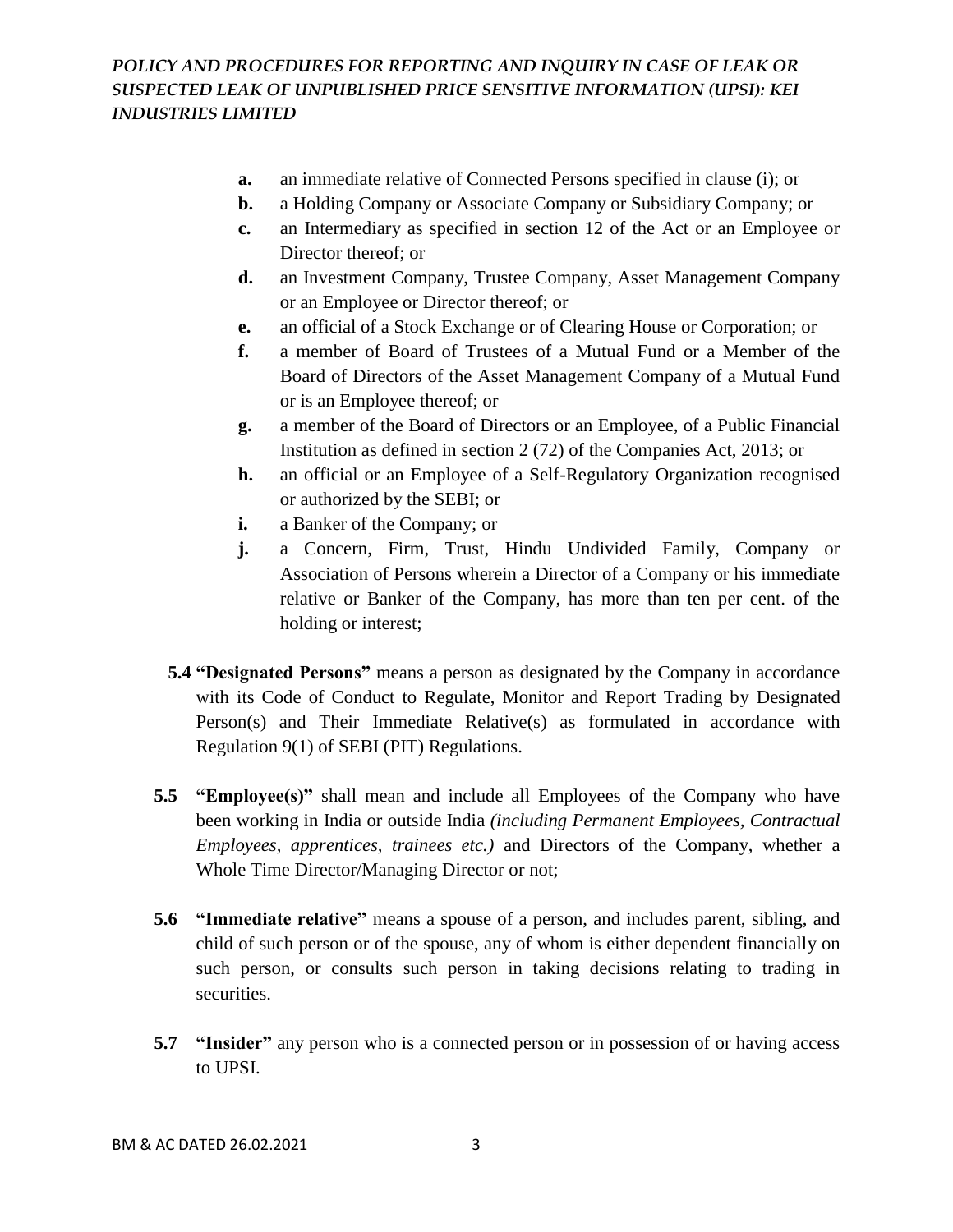- **a.** an immediate relative of Connected Persons specified in clause (i); or
- **b.** a Holding Company or Associate Company or Subsidiary Company; or
- **c.** an Intermediary as specified in section 12 of the Act or an Employee or Director thereof; or
- **d.** an Investment Company, Trustee Company, Asset Management Company or an Employee or Director thereof; or
- **e.** an official of a Stock Exchange or of Clearing House or Corporation; or
- **f.** a member of Board of Trustees of a Mutual Fund or a Member of the Board of Directors of the Asset Management Company of a Mutual Fund or is an Employee thereof; or
- **g.** a member of the Board of Directors or an Employee, of a Public Financial Institution as defined in section 2 (72) of the Companies Act, 2013; or
- **h.** an official or an Employee of a Self-Regulatory Organization recognised or authorized by the SEBI; or
- **i.** a Banker of the Company; or
- **j.** a Concern, Firm, Trust, Hindu Undivided Family, Company or Association of Persons wherein a Director of a Company or his immediate relative or Banker of the Company, has more than ten per cent. of the holding or interest;
- **5.4 "Designated Persons"** means a person as designated by the Company in accordance with its Code of Conduct to Regulate, Monitor and Report Trading by Designated Person(s) and Their Immediate Relative(s) as formulated in accordance with Regulation 9(1) of SEBI (PIT) Regulations.
- **5.5 "Employee(s)"** shall mean and include all Employees of the Company who have been working in India or outside India *(including Permanent Employees, Contractual Employees, apprentices, trainees etc.)* and Directors of the Company, whether a Whole Time Director/Managing Director or not;
- **5.6 "Immediate relative"** means a spouse of a person, and includes parent, sibling, and child of such person or of the spouse, any of whom is either dependent financially on such person, or consults such person in taking decisions relating to trading in securities.
- **5.7 "Insider"** any person who is a connected person or in possession of or having access to UPSI.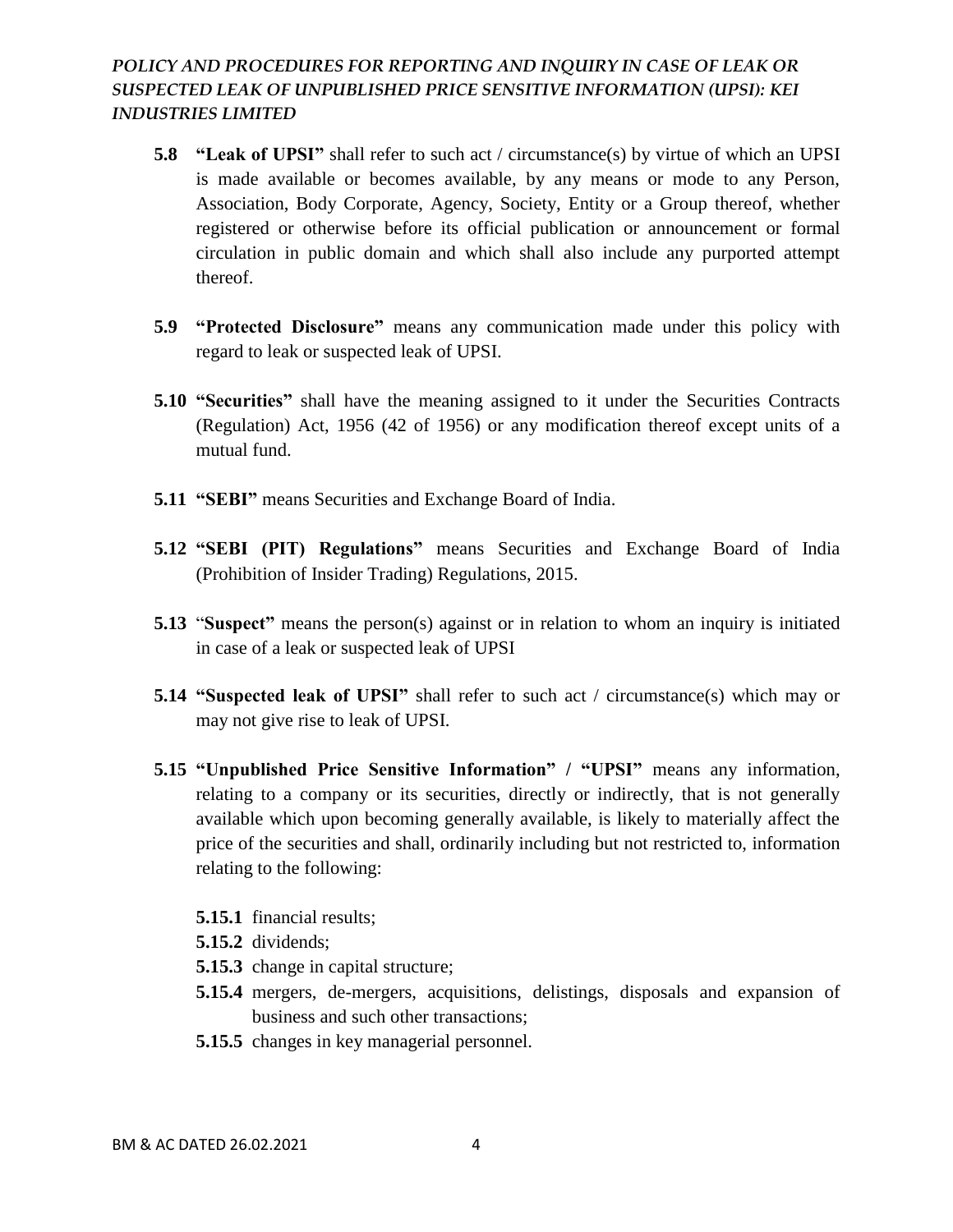- **5.8 "Leak of UPSI"** shall refer to such act / circumstance(s) by virtue of which an UPSI is made available or becomes available, by any means or mode to any Person, Association, Body Corporate, Agency, Society, Entity or a Group thereof, whether registered or otherwise before its official publication or announcement or formal circulation in public domain and which shall also include any purported attempt thereof.
- **5.9 "Protected Disclosure"** means any communication made under this policy with regard to leak or suspected leak of UPSI.
- **5.10 "Securities"** shall have the meaning assigned to it under the Securities Contracts (Regulation) Act, 1956 (42 of 1956) or any modification thereof except units of a mutual fund.
- **5.11 "SEBI"** means Securities and Exchange Board of India.
- **5.12 "SEBI (PIT) Regulations"** means Securities and Exchange Board of India (Prohibition of Insider Trading) Regulations, 2015.
- **5.13** "**Suspect"** means the person(s) against or in relation to whom an inquiry is initiated in case of a leak or suspected leak of UPSI
- **5.14 "Suspected leak of UPSI"** shall refer to such act / circumstance(s) which may or may not give rise to leak of UPSI.
- **5.15 "Unpublished Price Sensitive Information" / "UPSI"** means any information, relating to a company or its securities, directly or indirectly, that is not generally available which upon becoming generally available, is likely to materially affect the price of the securities and shall, ordinarily including but not restricted to, information relating to the following:
	- **5.15.1** financial results;
	- **5.15.2** dividends;
	- **5.15.3** change in capital structure;
	- **5.15.4** mergers, de-mergers, acquisitions, delistings, disposals and expansion of business and such other transactions;
	- **5.15.5** changes in key managerial personnel.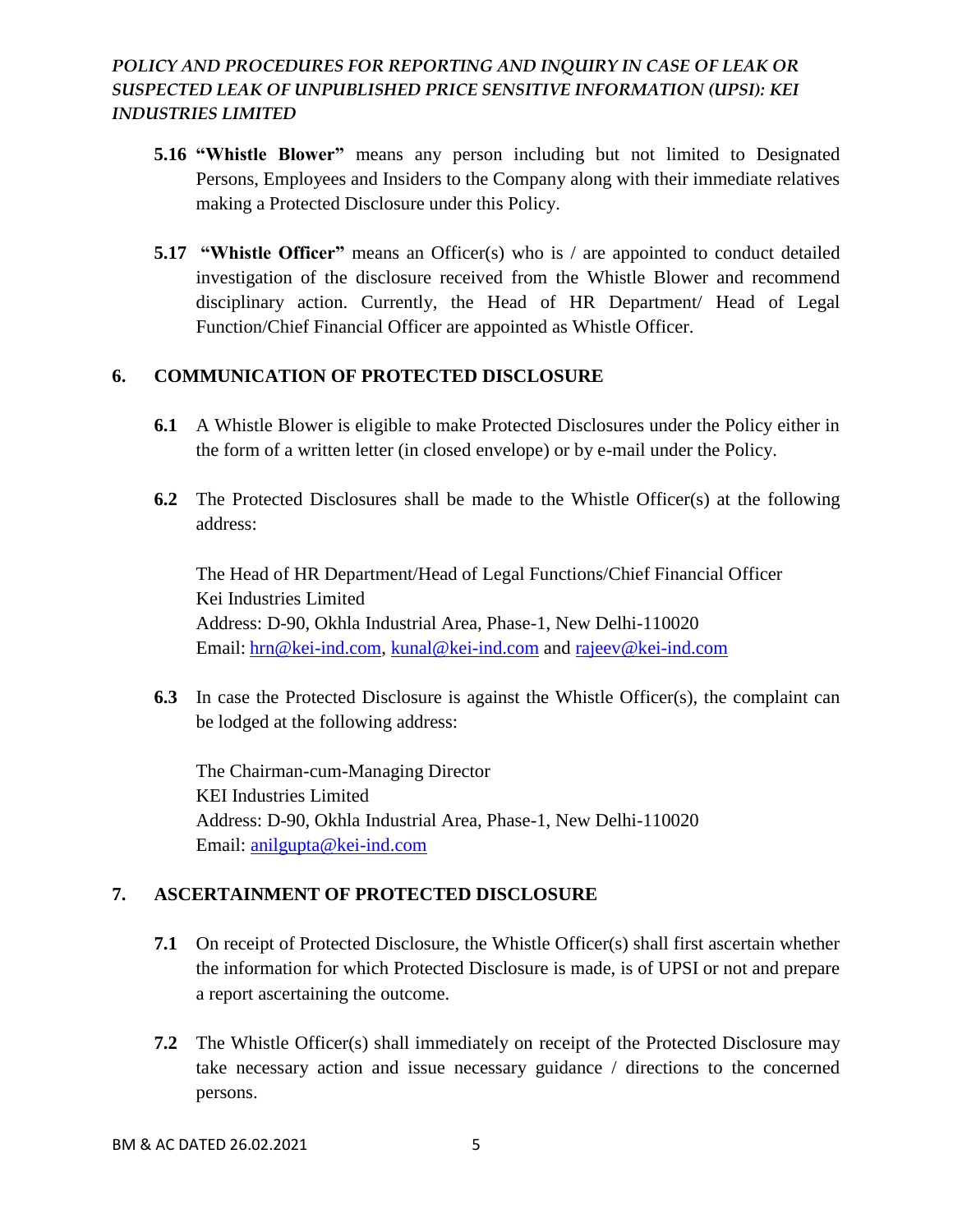- **5.16 "Whistle Blower"** means any person including but not limited to Designated Persons, Employees and Insiders to the Company along with their immediate relatives making a Protected Disclosure under this Policy.
- **5.17 "Whistle Officer"** means an Officer(s) who is / are appointed to conduct detailed investigation of the disclosure received from the Whistle Blower and recommend disciplinary action. Currently, the Head of HR Department/ Head of Legal Function/Chief Financial Officer are appointed as Whistle Officer.

# **6. COMMUNICATION OF PROTECTED DISCLOSURE**

- **6.1** A Whistle Blower is eligible to make Protected Disclosures under the Policy either in the form of a written letter (in closed envelope) or by e-mail under the Policy.
- **6.2** The Protected Disclosures shall be made to the Whistle Officer(s) at the following address:

The Head of HR Department/Head of Legal Functions/Chief Financial Officer Kei Industries Limited Address: D-90, Okhla Industrial Area, Phase-1, New Delhi-110020 Email: [hrn@kei-ind.com,](mailto:hrn@kei-ind.com) [kunal@kei-ind.com](mailto:kunal@kei-ind.com) and [rajeev@kei-ind.com](mailto:rajeev@kei-ind.com)

**6.3** In case the Protected Disclosure is against the Whistle Officer(s), the complaint can be lodged at the following address:

The Chairman-cum-Managing Director KEI Industries Limited Address: D-90, Okhla Industrial Area, Phase-1, New Delhi-110020 Email: [anilgupta@kei-ind.com](mailto:anilgupta@kei-ind.com)

#### **7. ASCERTAINMENT OF PROTECTED DISCLOSURE**

- **7.1** On receipt of Protected Disclosure, the Whistle Officer(s) shall first ascertain whether the information for which Protected Disclosure is made, is of UPSI or not and prepare a report ascertaining the outcome.
- **7.2** The Whistle Officer(s) shall immediately on receipt of the Protected Disclosure may take necessary action and issue necessary guidance / directions to the concerned persons.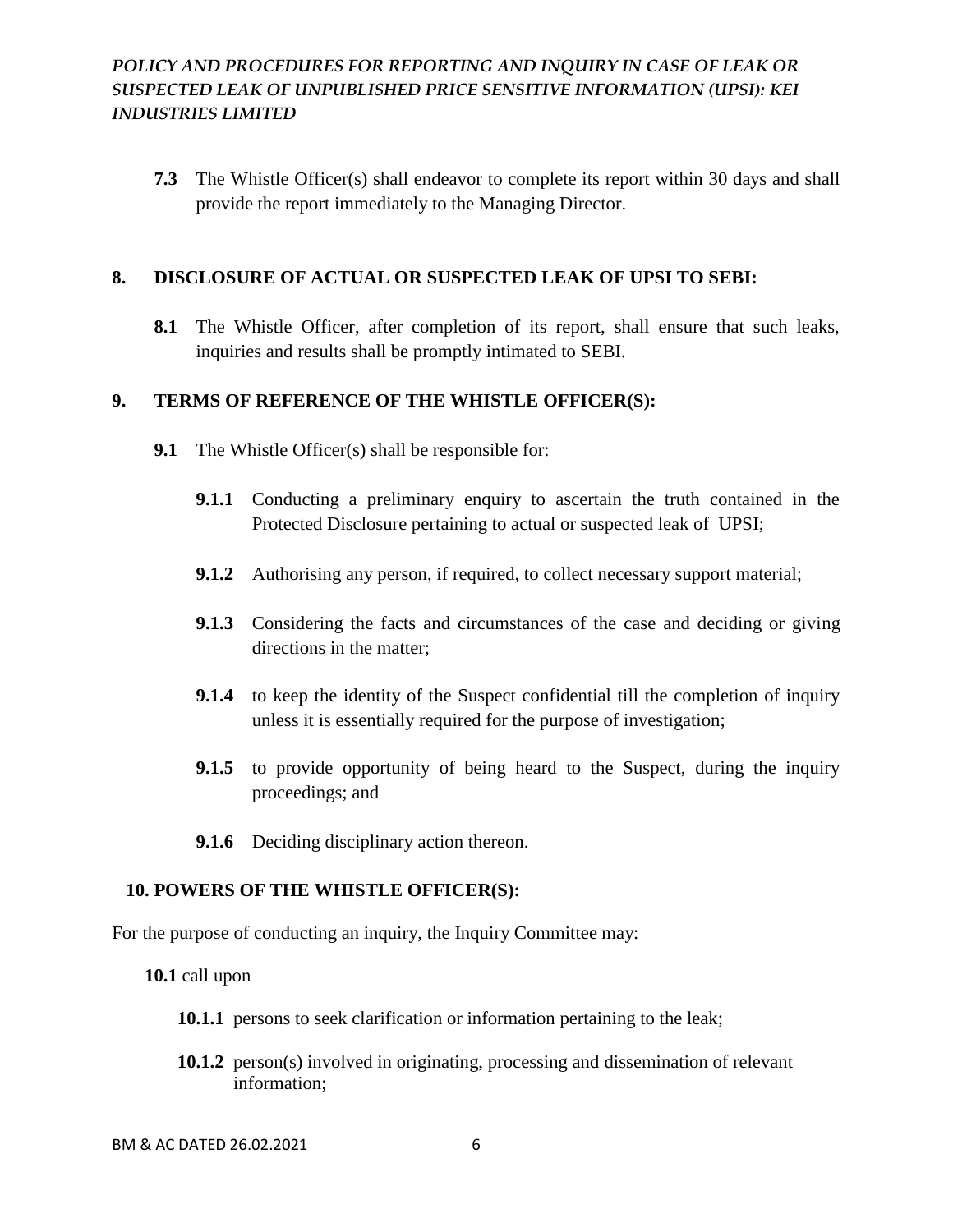**7.3** The Whistle Officer(s) shall endeavor to complete its report within 30 days and shall provide the report immediately to the Managing Director.

#### **8. DISCLOSURE OF ACTUAL OR SUSPECTED LEAK OF UPSI TO SEBI:**

**8.1** The Whistle Officer, after completion of its report, shall ensure that such leaks, inquiries and results shall be promptly intimated to SEBI.

#### **9. TERMS OF REFERENCE OF THE WHISTLE OFFICER(S):**

- **9.1** The Whistle Officer(s) shall be responsible for:
	- **9.1.1** Conducting a preliminary enquiry to ascertain the truth contained in the Protected Disclosure pertaining to actual or suspected leak of UPSI;
	- **9.1.2** Authorising any person, if required, to collect necessary support material;
	- **9.1.3** Considering the facts and circumstances of the case and deciding or giving directions in the matter;
	- **9.1.4** to keep the identity of the Suspect confidential till the completion of inquiry unless it is essentially required for the purpose of investigation;
	- **9.1.5** to provide opportunity of being heard to the Suspect, during the inquiry proceedings; and
	- **9.1.6** Deciding disciplinary action thereon.

#### **10. POWERS OF THE WHISTLE OFFICER(S):**

For the purpose of conducting an inquiry, the Inquiry Committee may:

**10.1** call upon

- **10.1.1** persons to seek clarification or information pertaining to the leak;
- **10.1.2** person(s) involved in originating, processing and dissemination of relevant information;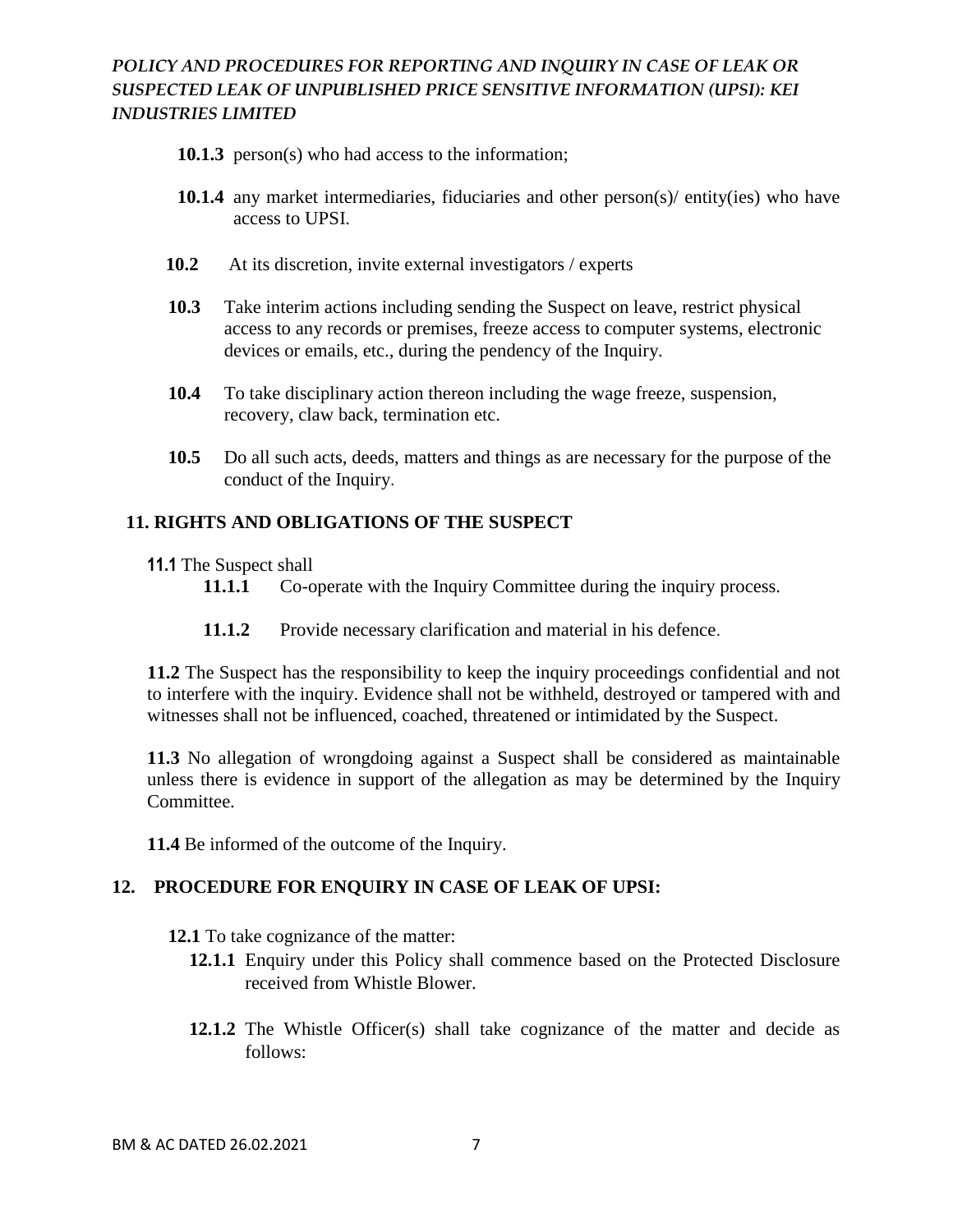- **10.1.3** person(s) who had access to the information;
- **10.1.4** any market intermediaries, fiduciaries and other person(s)/ entity(ies) who have access to UPSI.
- **10.2** At its discretion, invite external investigators / experts
- **10.3** Take interim actions including sending the Suspect on leave, restrict physical access to any records or premises, freeze access to computer systems, electronic devices or emails, etc., during the pendency of the Inquiry.
- **10.4** To take disciplinary action thereon including the wage freeze, suspension, recovery, claw back, termination etc.
- **10.5** Do all such acts, deeds, matters and things as are necessary for the purpose of the conduct of the Inquiry.

#### **11. RIGHTS AND OBLIGATIONS OF THE SUSPECT**

- **11.1** The Suspect shall
	- 11.1.1 Co-operate with the Inquiry Committee during the inquiry process.
	- **11.1.2** Provide necessary clarification and material in his defence.

**11.2** The Suspect has the responsibility to keep the inquiry proceedings confidential and not to interfere with the inquiry. Evidence shall not be withheld, destroyed or tampered with and witnesses shall not be influenced, coached, threatened or intimidated by the Suspect.

**11.3** No allegation of wrongdoing against a Suspect shall be considered as maintainable unless there is evidence in support of the allegation as may be determined by the Inquiry Committee.

**11.4** Be informed of the outcome of the Inquiry.

#### **12. PROCEDURE FOR ENQUIRY IN CASE OF LEAK OF UPSI:**

- **12.1** To take cognizance of the matter:
	- **12.1.1** Enquiry under this Policy shall commence based on the Protected Disclosure received from Whistle Blower.
	- **12.1.2** The Whistle Officer(s) shall take cognizance of the matter and decide as follows: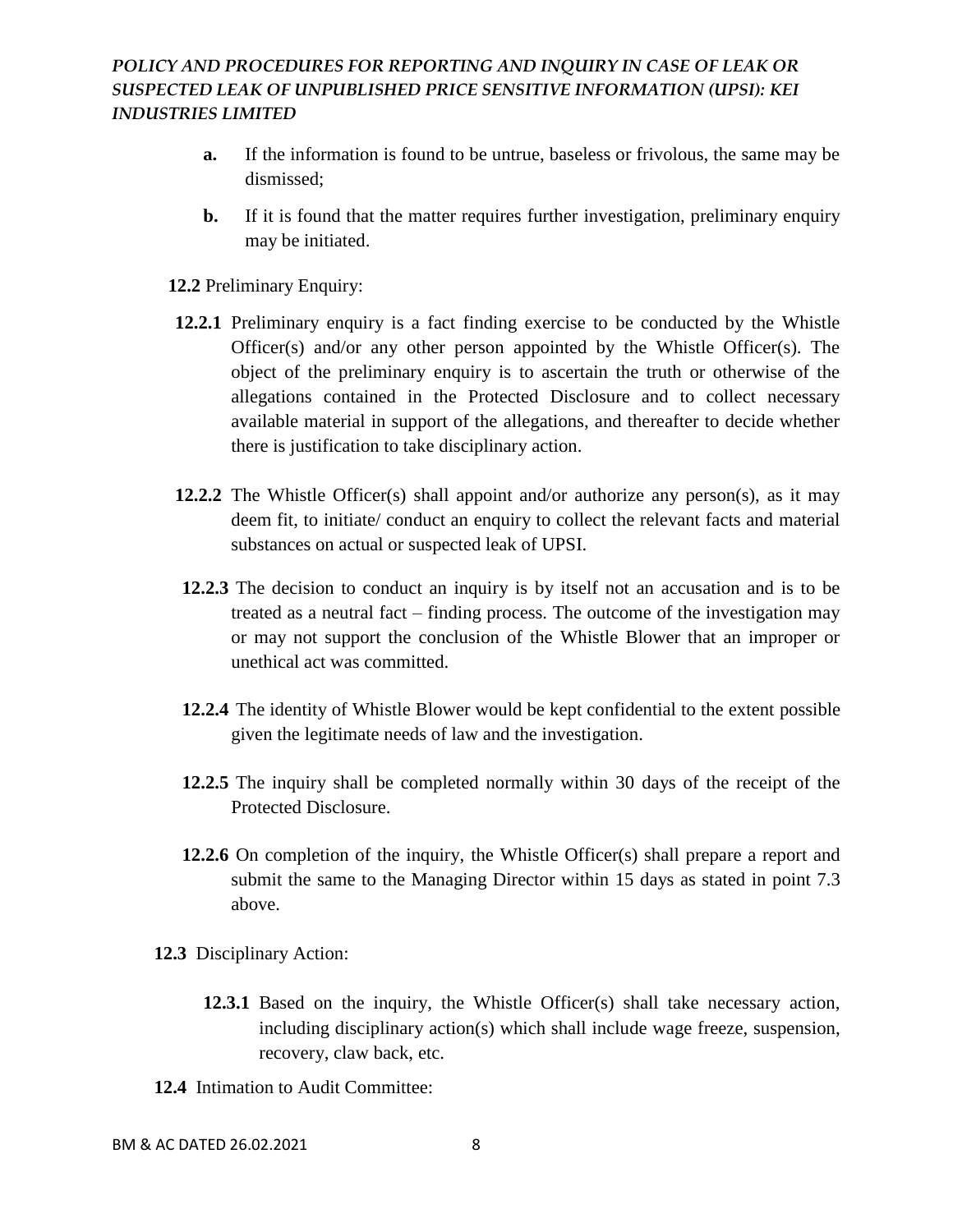- **a.** If the information is found to be untrue, baseless or frivolous, the same may be dismissed;
- **b.** If it is found that the matter requires further investigation, preliminary enquiry may be initiated.
- **12.2** Preliminary Enquiry:
- **12.2.1** Preliminary enquiry is a fact finding exercise to be conducted by the Whistle Officer(s) and/or any other person appointed by the Whistle Officer(s). The object of the preliminary enquiry is to ascertain the truth or otherwise of the allegations contained in the Protected Disclosure and to collect necessary available material in support of the allegations, and thereafter to decide whether there is justification to take disciplinary action.
- **12.2.2** The Whistle Officer(s) shall appoint and/or authorize any person(s), as it may deem fit, to initiate/ conduct an enquiry to collect the relevant facts and material substances on actual or suspected leak of UPSI.
- **12.2.3** The decision to conduct an inquiry is by itself not an accusation and is to be treated as a neutral fact – finding process. The outcome of the investigation may or may not support the conclusion of the Whistle Blower that an improper or unethical act was committed.
- **12.2.4** The identity of Whistle Blower would be kept confidential to the extent possible given the legitimate needs of law and the investigation.
- **12.2.5** The inquiry shall be completed normally within 30 days of the receipt of the Protected Disclosure.
- **12.2.6** On completion of the inquiry, the Whistle Officer(s) shall prepare a report and submit the same to the Managing Director within 15 days as stated in point 7.3 above.
- **12.3** Disciplinary Action:
	- **12.3.1** Based on the inquiry, the Whistle Officer(s) shall take necessary action, including disciplinary action(s) which shall include wage freeze, suspension, recovery, claw back, etc.
- **12.4** Intimation to Audit Committee: